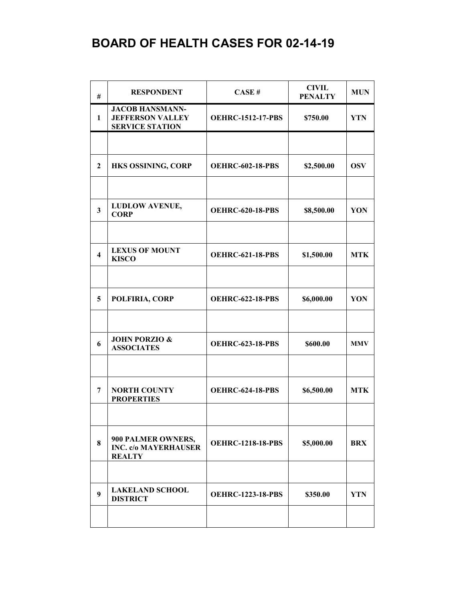| #                       | <b>RESPONDENT</b>                                                           | CASE#                    | <b>CIVIL</b><br><b>PENALTY</b> | <b>MUN</b> |
|-------------------------|-----------------------------------------------------------------------------|--------------------------|--------------------------------|------------|
| 1                       | <b>JACOB HANSMANN-</b><br><b>JEFFERSON VALLEY</b><br><b>SERVICE STATION</b> | <b>OEHRC-1512-17-PBS</b> | \$750.00                       | <b>YTN</b> |
|                         |                                                                             |                          |                                |            |
| $\mathbf{2}$            | HKS OSSINING, CORP                                                          | <b>OEHRC-602-18-PBS</b>  | \$2,500.00                     | <b>OSV</b> |
|                         |                                                                             |                          |                                |            |
| $\mathbf{3}$            | <b>LUDLOW AVENUE,</b><br><b>CORP</b>                                        | <b>OEHRC-620-18-PBS</b>  | \$8,500.00                     | YON        |
|                         |                                                                             |                          |                                |            |
| $\overline{\mathbf{4}}$ | <b>LEXUS OF MOUNT</b><br><b>KISCO</b>                                       | <b>OEHRC-621-18-PBS</b>  | \$1,500.00                     | <b>MTK</b> |
|                         |                                                                             |                          |                                |            |
| 5                       | POLFIRIA, CORP                                                              | <b>OEHRC-622-18-PBS</b>  | \$6,000.00                     | YON        |
|                         |                                                                             |                          |                                |            |
| 6                       | <b>JOHN PORZIO &amp;</b><br><b>ASSOCIATES</b>                               | <b>OEHRC-623-18-PBS</b>  | \$600.00                       | <b>MMV</b> |
|                         |                                                                             |                          |                                |            |
| 7                       | <b>NORTH COUNTY</b><br><b>PROPERTIES</b>                                    | <b>OEHRC-624-18-PBS</b>  | \$6,500.00                     | <b>MTK</b> |
|                         |                                                                             |                          |                                |            |
| 8                       | 900 PALMER OWNERS,<br><b>INC. c/o MAYERHAUSER</b><br><b>REALTY</b>          | <b>OEHRC-1218-18-PBS</b> | \$5,000.00                     | <b>BRX</b> |
|                         |                                                                             |                          |                                |            |
| 9                       | <b>LAKELAND SCHOOL</b><br><b>DISTRICT</b>                                   | <b>OEHRC-1223-18-PBS</b> | \$350.00                       | <b>YTN</b> |
|                         |                                                                             |                          |                                |            |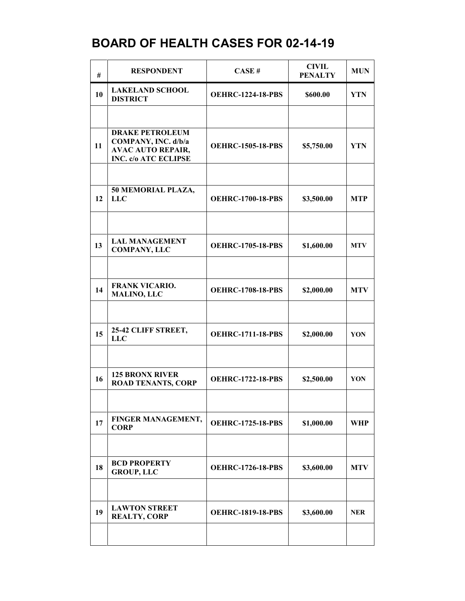| #  | <b>RESPONDENT</b>                                                                                 | CASE#                    | <b>CIVIL</b><br><b>PENALTY</b> | <b>MUN</b> |
|----|---------------------------------------------------------------------------------------------------|--------------------------|--------------------------------|------------|
| 10 | <b>LAKELAND SCHOOL</b><br><b>DISTRICT</b>                                                         | <b>OEHRC-1224-18-PBS</b> | \$600.00                       | <b>YTN</b> |
|    |                                                                                                   |                          |                                |            |
| 11 | <b>DRAKE PETROLEUM</b><br>COMPANY, INC. d/b/a<br><b>AVAC AUTO REPAIR,</b><br>INC. c/o ATC ECLIPSE | <b>OEHRC-1505-18-PBS</b> | \$5,750.00                     | <b>YTN</b> |
|    |                                                                                                   |                          |                                |            |
| 12 | 50 MEMORIAL PLAZA,<br><b>LLC</b>                                                                  | <b>OEHRC-1700-18-PBS</b> | \$3,500.00                     | <b>MTP</b> |
|    |                                                                                                   |                          |                                |            |
| 13 | <b>LAL MANAGEMENT</b><br><b>COMPANY, LLC</b>                                                      | <b>OEHRC-1705-18-PBS</b> | \$1,600.00                     | <b>MTV</b> |
|    |                                                                                                   |                          |                                |            |
| 14 | <b>FRANK VICARIO.</b><br><b>MALINO, LLC</b>                                                       | <b>OEHRC-1708-18-PBS</b> | \$2,000.00                     | <b>MTV</b> |
|    |                                                                                                   |                          |                                |            |
| 15 | 25-42 CLIFF STREET,<br><b>LLC</b>                                                                 | <b>OEHRC-1711-18-PBS</b> | \$2,000.00                     | YON        |
|    |                                                                                                   |                          |                                |            |
| 16 | <b>125 BRONX RIVER</b><br><b>ROAD TENANTS, CORP</b>                                               | <b>OEHRC-1722-18-PBS</b> | \$2,500.00                     | YON        |
|    |                                                                                                   |                          |                                |            |
| 17 | FINGER MANAGEMENT,<br><b>CORP</b>                                                                 | <b>OEHRC-1725-18-PBS</b> | \$1,000.00                     | WHP        |
|    |                                                                                                   |                          |                                |            |
| 18 | <b>BCD PROPERTY</b><br><b>GROUP, LLC</b>                                                          | <b>OEHRC-1726-18-PBS</b> | \$3,600.00                     | <b>MTV</b> |
|    |                                                                                                   |                          |                                |            |
| 19 | <b>LAWTON STREET</b><br><b>REALTY, CORP</b>                                                       | <b>OEHRC-1819-18-PBS</b> | \$3,600.00                     | <b>NER</b> |
|    |                                                                                                   |                          |                                |            |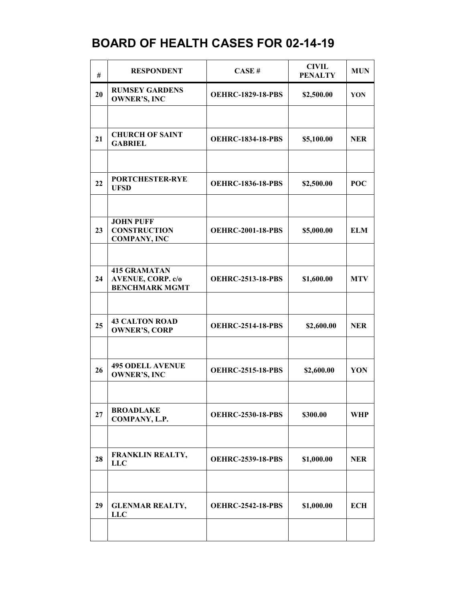| #  | <b>RESPONDENT</b>                                              | CASE#                    | <b>CIVIL</b><br><b>PENALTY</b> | <b>MUN</b> |
|----|----------------------------------------------------------------|--------------------------|--------------------------------|------------|
| 20 | <b>RUMSEY GARDENS</b><br><b>OWNER'S, INC</b>                   | <b>OEHRC-1829-18-PBS</b> | \$2,500.00                     | YON        |
|    |                                                                |                          |                                |            |
| 21 | <b>CHURCH OF SAINT</b><br><b>GABRIEL</b>                       | <b>OEHRC-1834-18-PBS</b> | \$5,100.00                     | <b>NER</b> |
|    |                                                                |                          |                                |            |
| 22 | <b>PORTCHESTER-RYE</b><br><b>UFSD</b>                          | <b>OEHRC-1836-18-PBS</b> | \$2,500.00                     | <b>POC</b> |
|    |                                                                |                          |                                |            |
| 23 | <b>JOHN PUFF</b><br><b>CONSTRUCTION</b><br><b>COMPANY, INC</b> | <b>OEHRC-2001-18-PBS</b> | \$5,000.00                     | <b>ELM</b> |
|    |                                                                |                          |                                |            |
| 24 | <b>415 GRAMATAN</b><br><b>AVENUE, CORP. c/o</b>                | <b>OEHRC-2513-18-PBS</b> | \$1,600.00                     | <b>MTV</b> |
|    | <b>BENCHMARK MGMT</b>                                          |                          |                                |            |
| 25 | <b>43 CALTON ROAD</b><br><b>OWNER'S, CORP</b>                  | <b>OEHRC-2514-18-PBS</b> | \$2,600.00                     | <b>NER</b> |
|    |                                                                |                          |                                |            |
| 26 | <b>495 ODELL AVENUE</b><br><b>OWNER'S, INC</b>                 | <b>OEHRC-2515-18-PBS</b> | \$2,600.00                     | YON        |
|    |                                                                |                          |                                |            |
| 27 | <b>BROADLAKE</b><br>COMPANY, L.P.                              | <b>OEHRC-2530-18-PBS</b> | \$300.00                       | <b>WHP</b> |
|    |                                                                |                          |                                |            |
| 28 | <b>FRANKLIN REALTY,</b><br><b>LLC</b>                          | <b>OEHRC-2539-18-PBS</b> | \$1,000.00                     | <b>NER</b> |
|    |                                                                |                          |                                |            |
| 29 | <b>GLENMAR REALTY,</b><br><b>LLC</b>                           | <b>OEHRC-2542-18-PBS</b> | \$1,000.00                     | <b>ECH</b> |
|    |                                                                |                          |                                |            |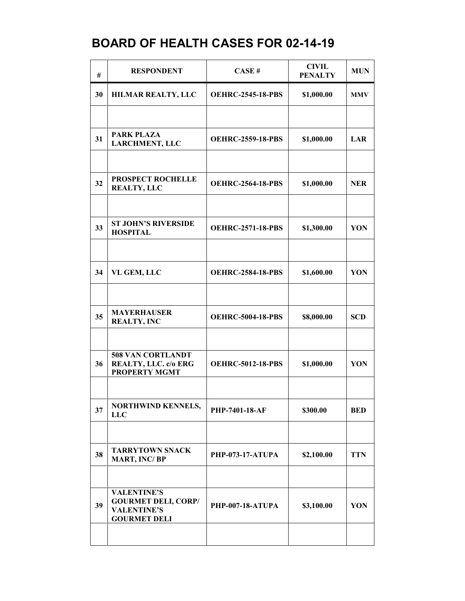| #  | <b>RESPONDENT</b>                                                                             | CASE#                    | <b>CIVIL</b><br><b>PENALTY</b> | <b>MUN</b> |
|----|-----------------------------------------------------------------------------------------------|--------------------------|--------------------------------|------------|
| 30 | HILMAR REALTY, LLC                                                                            | <b>OEHRC-2545-18-PBS</b> | \$1,000.00                     | <b>MMV</b> |
|    |                                                                                               |                          |                                |            |
| 31 | <b>PARK PLAZA</b><br><b>LARCHMENT, LLC</b>                                                    | <b>OEHRC-2559-18-PBS</b> | \$1,000.00                     | LAR        |
|    |                                                                                               |                          |                                |            |
| 32 | PROSPECT ROCHELLE<br><b>REALTY, LLC</b>                                                       | <b>OEHRC-2564-18-PBS</b> | \$1,000.00                     | <b>NER</b> |
|    |                                                                                               |                          |                                |            |
| 33 | <b>ST JOHN'S RIVERSIDE</b><br><b>HOSPITAL</b>                                                 | <b>OEHRC-2571-18-PBS</b> | \$1,300.00                     | YON        |
|    |                                                                                               |                          |                                |            |
| 34 | VL GEM, LLC                                                                                   | <b>OEHRC-2584-18-PBS</b> | \$1,600.00                     | YON        |
|    |                                                                                               |                          |                                |            |
| 35 | <b>MAYERHAUSER</b><br><b>REALTY, INC</b>                                                      | <b>OEHRC-5004-18-PBS</b> | \$8,000.00                     | <b>SCD</b> |
|    |                                                                                               |                          |                                |            |
| 36 | 508 VAN CORTLANDT<br>REALTY, LLC. c/o ERG<br><b>PROPERTY MGMT</b>                             | <b>OEHRC-5012-18-PBS</b> | \$1,000.00                     | YON        |
|    |                                                                                               |                          |                                |            |
| 37 | <b>NORTHWIND KENNELS,</b><br><b>LLC</b>                                                       | PHP-7401-18-AF           | \$300.00                       | <b>BED</b> |
|    |                                                                                               |                          |                                |            |
| 38 | <b>TARRYTOWN SNACK</b><br><b>MART, INC/BP</b>                                                 | <b>PHP-073-17-ATUPA</b>  | \$2,100.00                     | <b>TTN</b> |
|    |                                                                                               |                          |                                |            |
| 39 | <b>VALENTINE'S</b><br><b>GOURMET DELI, CORP/</b><br><b>VALENTINE'S</b><br><b>GOURMET DELI</b> | PHP-007-18-ATUPA         | \$3,100.00                     | YON        |
|    |                                                                                               |                          |                                |            |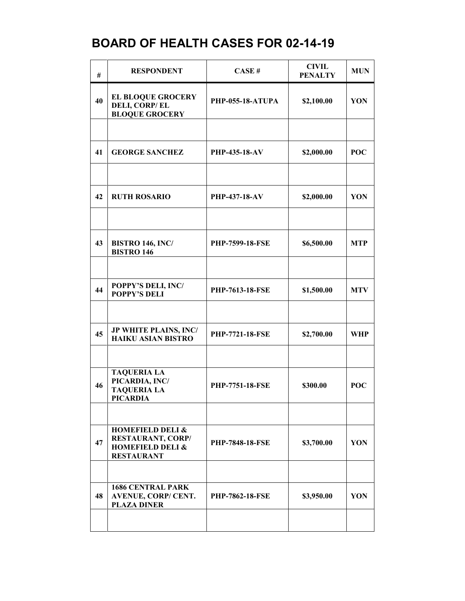| #  | <b>RESPONDENT</b>                                                                                    | CASE#                   | <b>CIVIL</b><br><b>PENALTY</b> | <b>MUN</b> |
|----|------------------------------------------------------------------------------------------------------|-------------------------|--------------------------------|------------|
| 40 | <b>EL BLOQUE GROCERY</b><br><b>DELI, CORP/EL</b><br><b>BLOQUE GROCERY</b>                            | <b>PHP-055-18-ATUPA</b> | \$2,100.00                     | YON        |
|    |                                                                                                      |                         |                                |            |
| 41 | <b>GEORGE SANCHEZ</b>                                                                                | <b>PHP-435-18-AV</b>    | \$2,000.00                     | <b>POC</b> |
|    |                                                                                                      |                         |                                |            |
| 42 | <b>RUTH ROSARIO</b>                                                                                  | <b>PHP-437-18-AV</b>    | \$2,000.00                     | YON        |
|    |                                                                                                      |                         |                                |            |
| 43 | <b>BISTRO 146, INC/</b><br><b>BISTRO 146</b>                                                         | <b>PHP-7599-18-FSE</b>  | \$6,500.00                     | <b>MTP</b> |
|    |                                                                                                      |                         |                                |            |
| 44 | POPPY'S DELI, INC/<br><b>POPPY'S DELI</b>                                                            | <b>PHP-7613-18-FSE</b>  | \$1,500.00                     | <b>MTV</b> |
|    |                                                                                                      |                         |                                |            |
| 45 | JP WHITE PLAINS, INC/<br><b>HAIKU ASIAN BISTRO</b>                                                   | <b>PHP-7721-18-FSE</b>  | \$2,700.00                     | <b>WHP</b> |
|    |                                                                                                      |                         |                                |            |
| 46 | <b>TAQUERIA LA</b><br>PICARDIA, INC/<br><b>TAQUERIA LA</b><br>PICARDIA                               | PHP-7751-18-FSE         | \$300.00                       | <b>POC</b> |
|    |                                                                                                      |                         |                                |            |
| 47 | <b>HOMEFIELD DELI &amp;</b><br>RESTAURANT, CORP/<br><b>HOMEFIELD DELI &amp;</b><br><b>RESTAURANT</b> | PHP-7848-18-FSE         | \$3,700.00                     | YON        |
|    |                                                                                                      |                         |                                |            |
| 48 | <b>1686 CENTRAL PARK</b><br><b>AVENUE, CORP/ CENT.</b><br><b>PLAZA DINER</b>                         | <b>PHP-7862-18-FSE</b>  | \$3,950.00                     | YON        |
|    |                                                                                                      |                         |                                |            |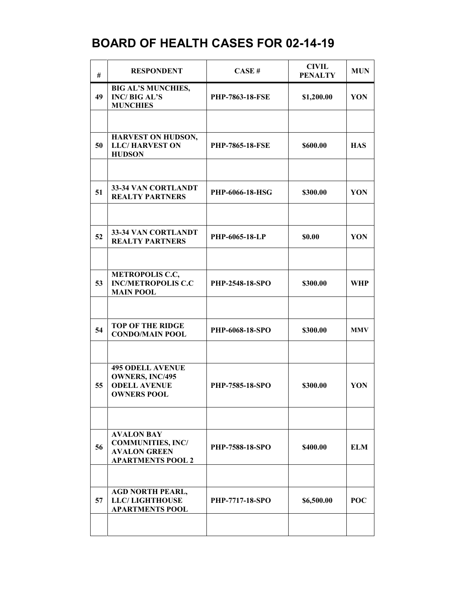| #  | <b>RESPONDENT</b>                                                                                | CASE#                  | <b>CIVIL</b><br><b>PENALTY</b> | <b>MUN</b> |
|----|--------------------------------------------------------------------------------------------------|------------------------|--------------------------------|------------|
| 49 | <b>BIG AL'S MUNCHIES,</b><br><b>INC/BIG AL'S</b><br><b>MUNCHIES</b>                              | <b>PHP-7863-18-FSE</b> | \$1,200.00                     | YON        |
|    |                                                                                                  |                        |                                |            |
| 50 | HARVEST ON HUDSON,<br><b>LLC/HARVEST ON</b><br><b>HUDSON</b>                                     | <b>PHP-7865-18-FSE</b> | \$600.00                       | <b>HAS</b> |
|    |                                                                                                  |                        |                                |            |
| 51 | 33-34 VAN CORTLANDT<br><b>REALTY PARTNERS</b>                                                    | PHP-6066-18-HSG        | \$300.00                       | YON        |
|    |                                                                                                  |                        |                                |            |
| 52 | 33-34 VAN CORTLANDT<br><b>REALTY PARTNERS</b>                                                    | PHP-6065-18-LP         | \$0.00                         | YON        |
|    |                                                                                                  |                        |                                |            |
| 53 | <b>METROPOLIS C.C,</b><br><b>INC/METROPOLIS C.C</b><br><b>MAIN POOL</b>                          | <b>PHP-2548-18-SPO</b> | \$300.00                       | WHP        |
|    |                                                                                                  |                        |                                |            |
| 54 | <b>TOP OF THE RIDGE</b><br><b>CONDO/MAIN POOL</b>                                                | PHP-6068-18-SPO        | \$300.00                       | <b>MMV</b> |
|    |                                                                                                  |                        |                                |            |
| 55 | <b>495 ODELL AVENUE</b><br><b>OWNERS, INC/495</b><br><b>ODELL AVENUE</b><br><b>OWNERS POOL</b>   | PHP-7585-18-SPO        | \$300.00                       | YON        |
|    |                                                                                                  |                        |                                |            |
| 56 | <b>AVALON BAY</b><br><b>COMMUNITIES, INC/</b><br><b>AVALON GREEN</b><br><b>APARTMENTS POOL 2</b> | PHP-7588-18-SPO        | \$400.00                       | <b>ELM</b> |
|    |                                                                                                  |                        |                                |            |
| 57 | <b>AGD NORTH PEARL,</b><br><b>LLC/LIGHTHOUSE</b><br><b>APARTMENTS POOL</b>                       | <b>PHP-7717-18-SPO</b> | \$6,500.00                     | <b>POC</b> |
|    |                                                                                                  |                        |                                |            |